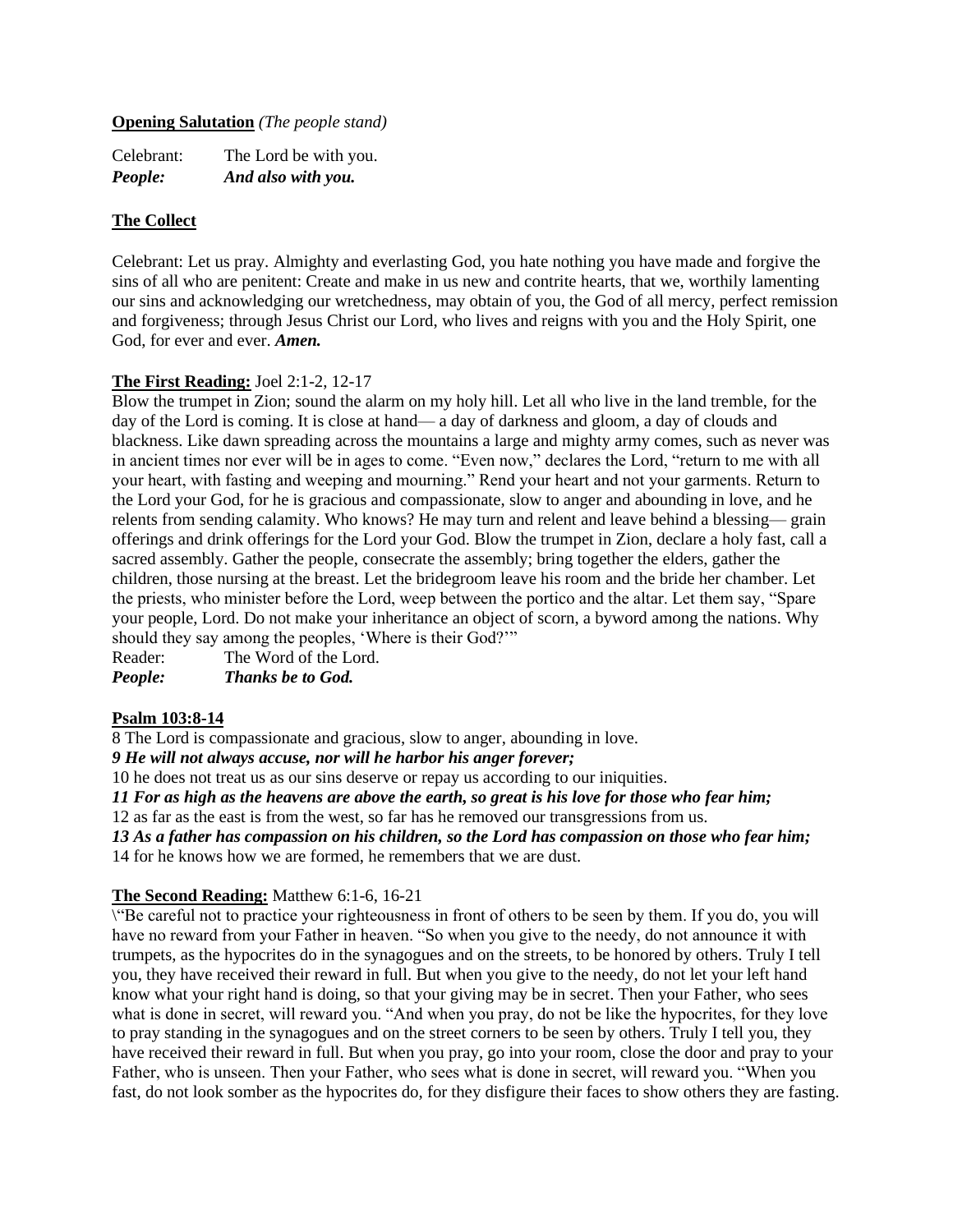### **Opening Salutation** *(The people stand)*

| Celebrant: | The Lord be with you. |
|------------|-----------------------|
| People:    | And also with you.    |

#### **The Collect**

Celebrant: Let us pray. Almighty and everlasting God, you hate nothing you have made and forgive the sins of all who are penitent: Create and make in us new and contrite hearts, that we, worthily lamenting our sins and acknowledging our wretchedness, may obtain of you, the God of all mercy, perfect remission and forgiveness; through Jesus Christ our Lord, who lives and reigns with you and the Holy Spirit, one God, for ever and ever. *Amen.*

### **The First Reading:** Joel 2:1-2, 12-17

Blow the trumpet in Zion; sound the alarm on my holy hill. Let all who live in the land tremble, for the day of the Lord is coming. It is close at hand— a day of darkness and gloom, a day of clouds and blackness. Like dawn spreading across the mountains a large and mighty army comes, such as never was in ancient times nor ever will be in ages to come. "Even now," declares the Lord, "return to me with all your heart, with fasting and weeping and mourning." Rend your heart and not your garments. Return to the Lord your God, for he is gracious and compassionate, slow to anger and abounding in love, and he relents from sending calamity. Who knows? He may turn and relent and leave behind a blessing— grain offerings and drink offerings for the Lord your God. Blow the trumpet in Zion, declare a holy fast, call a sacred assembly. Gather the people, consecrate the assembly; bring together the elders, gather the children, those nursing at the breast. Let the bridegroom leave his room and the bride her chamber. Let the priests, who minister before the Lord, weep between the portico and the altar. Let them say, "Spare your people, Lord. Do not make your inheritance an object of scorn, a byword among the nations. Why should they say among the peoples, 'Where is their God?'"

Reader: The Word of the Lord. *People: Thanks be to God.*

### **Psalm 103:8-14**

8 The Lord is compassionate and gracious, slow to anger, abounding in love.

*9 He will not always accuse, nor will he harbor his anger forever;*

10 he does not treat us as our sins deserve or repay us according to our iniquities.

*11 For as high as the heavens are above the earth, so great is his love for those who fear him;*

12 as far as the east is from the west, so far has he removed our transgressions from us.

*13 As a father has compassion on his children, so the Lord has compassion on those who fear him;* 14 for he knows how we are formed, he remembers that we are dust.

# **The Second Reading:** Matthew 6:1-6, 16-21

\"Be careful not to practice your righteousness in front of others to be seen by them. If you do, you will have no reward from your Father in heaven. "So when you give to the needy, do not announce it with trumpets, as the hypocrites do in the synagogues and on the streets, to be honored by others. Truly I tell you, they have received their reward in full. But when you give to the needy, do not let your left hand know what your right hand is doing, so that your giving may be in secret. Then your Father, who sees what is done in secret, will reward you. "And when you pray, do not be like the hypocrites, for they love to pray standing in the synagogues and on the street corners to be seen by others. Truly I tell you, they have received their reward in full. But when you pray, go into your room, close the door and pray to your Father, who is unseen. Then your Father, who sees what is done in secret, will reward you. "When you fast, do not look somber as the hypocrites do, for they disfigure their faces to show others they are fasting.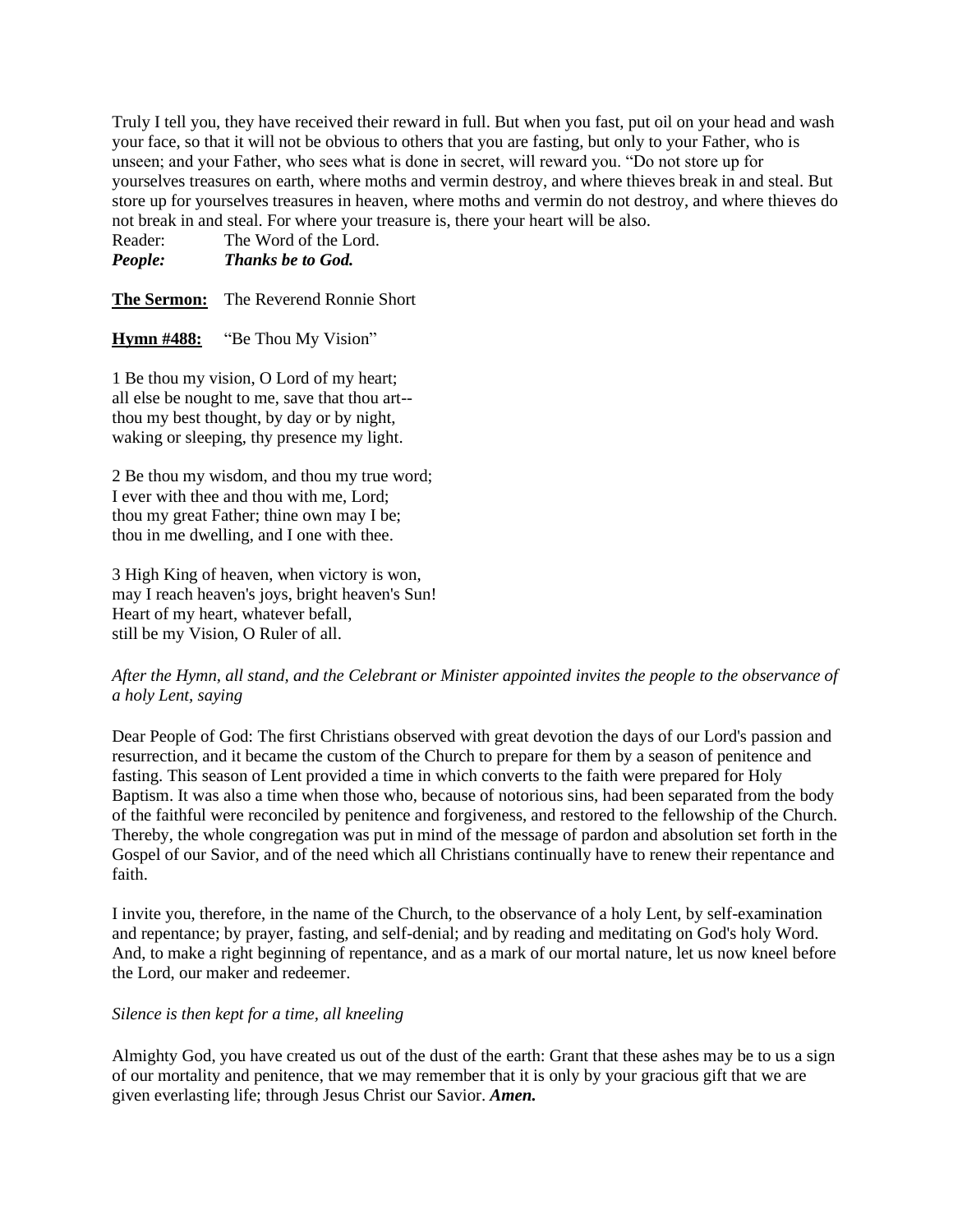Truly I tell you, they have received their reward in full. But when you fast, put oil on your head and wash your face, so that it will not be obvious to others that you are fasting, but only to your Father, who is unseen; and your Father, who sees what is done in secret, will reward you. "Do not store up for yourselves treasures on earth, where moths and vermin destroy, and where thieves break in and steal. But store up for yourselves treasures in heaven, where moths and vermin do not destroy, and where thieves do not break in and steal. For where your treasure is, there your heart will be also.

Reader: The Word of the Lord. *People: Thanks be to God.*

**The Sermon:** The Reverend Ronnie Short

**Hymn #488:** "Be Thou My Vision"

1 Be thou my vision, O Lord of my heart; all else be nought to me, save that thou art- thou my best thought, by day or by night, waking or sleeping, thy presence my light.

2 Be thou my wisdom, and thou my true word; I ever with thee and thou with me, Lord; thou my great Father; thine own may I be; thou in me dwelling, and I one with thee.

3 High King of heaven, when victory is won, may I reach heaven's joys, bright heaven's Sun! Heart of my heart, whatever befall, still be my Vision, O Ruler of all.

# *After the Hymn, all stand, and the Celebrant or Minister appointed invites the people to the observance of a holy Lent, saying*

Dear People of God: The first Christians observed with great devotion the days of our Lord's passion and resurrection, and it became the custom of the Church to prepare for them by a season of penitence and fasting. This season of Lent provided a time in which converts to the faith were prepared for Holy Baptism. It was also a time when those who, because of notorious sins, had been separated from the body of the faithful were reconciled by penitence and forgiveness, and restored to the fellowship of the Church. Thereby, the whole congregation was put in mind of the message of pardon and absolution set forth in the Gospel of our Savior, and of the need which all Christians continually have to renew their repentance and faith.

I invite you, therefore, in the name of the Church, to the observance of a holy Lent, by self-examination and repentance; by prayer, fasting, and self-denial; and by reading and meditating on God's holy Word. And, to make a right beginning of repentance, and as a mark of our mortal nature, let us now kneel before the Lord, our maker and redeemer.

### *Silence is then kept for a time, all kneeling*

Almighty God, you have created us out of the dust of the earth: Grant that these ashes may be to us a sign of our mortality and penitence, that we may remember that it is only by your gracious gift that we are given everlasting life; through Jesus Christ our Savior. *Amen.*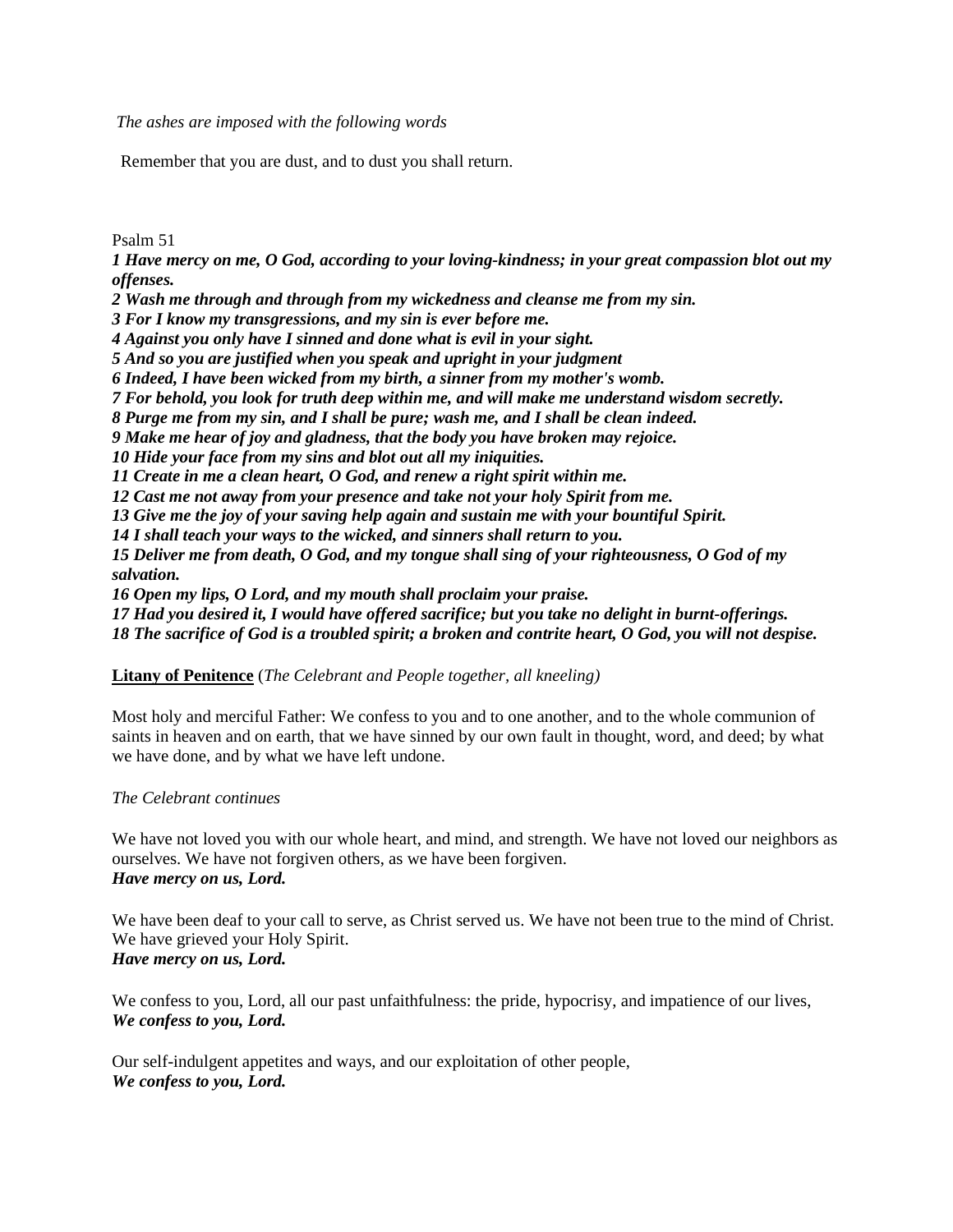*The ashes are imposed with the following words*

Remember that you are dust, and to dust you shall return.

Psalm 51

*1 Have mercy on me, O God, according to your loving-kindness; in your great compassion blot out my offenses. 2 Wash me through and through from my wickedness and cleanse me from my sin. 3 For I know my transgressions, and my sin is ever before me. 4 Against you only have I sinned and done what is evil in your sight. 5 And so you are justified when you speak and upright in your judgment 6 Indeed, I have been wicked from my birth, a sinner from my mother's womb. 7 For behold, you look for truth deep within me, and will make me understand wisdom secretly. 8 Purge me from my sin, and I shall be pure; wash me, and I shall be clean indeed. 9 Make me hear of joy and gladness, that the body you have broken may rejoice. 10 Hide your face from my sins and blot out all my iniquities. 11 Create in me a clean heart, O God, and renew a right spirit within me. 12 Cast me not away from your presence and take not your holy Spirit from me. 13 Give me the joy of your saving help again and sustain me with your bountiful Spirit. 14 I shall teach your ways to the wicked, and sinners shall return to you. 15 Deliver me from death, O God, and my tongue shall sing of your righteousness, O God of my salvation. 16 Open my lips, O Lord, and my mouth shall proclaim your praise. 17 Had you desired it, I would have offered sacrifice; but you take no delight in burnt-offerings. 18 The sacrifice of God is a troubled spirit; a broken and contrite heart, O God, you will not despise.*

### **Litany of Penitence** (*The Celebrant and People together, all kneeling)*

Most holy and merciful Father: We confess to you and to one another, and to the whole communion of saints in heaven and on earth, that we have sinned by our own fault in thought, word, and deed; by what we have done, and by what we have left undone.

### *The Celebrant continues*

We have not loved you with our whole heart, and mind, and strength. We have not loved our neighbors as ourselves. We have not forgiven others, as we have been forgiven. *Have mercy on us, Lord.*

We have been deaf to your call to serve, as Christ served us. We have not been true to the mind of Christ. We have grieved your Holy Spirit. *Have mercy on us, Lord.*

We confess to you, Lord, all our past unfaithfulness: the pride, hypocrisy, and impatience of our lives, *We confess to you, Lord.*

Our self-indulgent appetites and ways, and our exploitation of other people, *We confess to you, Lord.*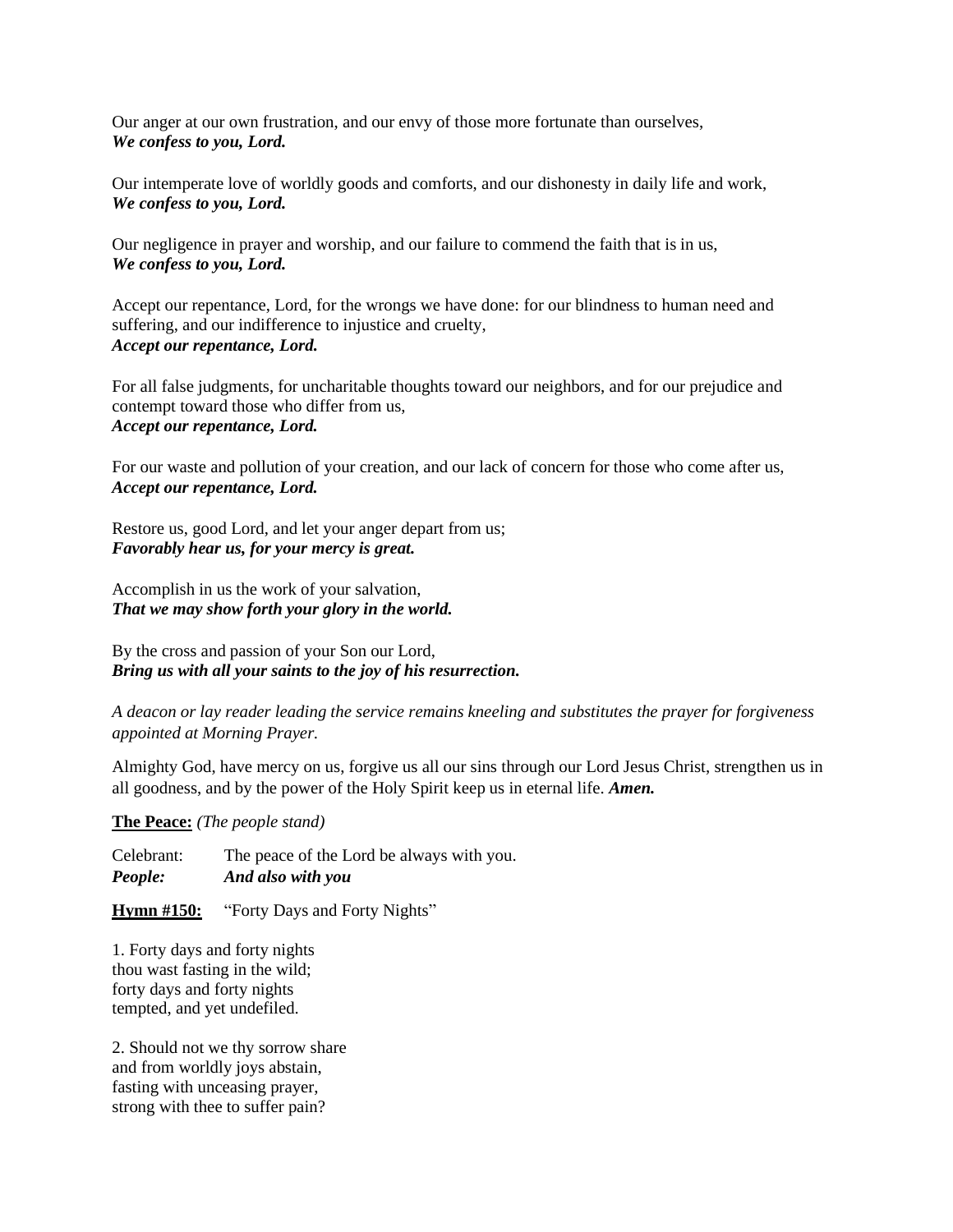Our anger at our own frustration, and our envy of those more fortunate than ourselves, *We confess to you, Lord.*

Our intemperate love of worldly goods and comforts, and our dishonesty in daily life and work, *We confess to you, Lord.*

Our negligence in prayer and worship, and our failure to commend the faith that is in us, *We confess to you, Lord.*

Accept our repentance, Lord, for the wrongs we have done: for our blindness to human need and suffering, and our indifference to injustice and cruelty, *Accept our repentance, Lord.*

For all false judgments, for uncharitable thoughts toward our neighbors, and for our prejudice and contempt toward those who differ from us, *Accept our repentance, Lord.*

For our waste and pollution of your creation, and our lack of concern for those who come after us, *Accept our repentance, Lord.*

Restore us, good Lord, and let your anger depart from us; *Favorably hear us, for your mercy is great.*

Accomplish in us the work of your salvation, *That we may show forth your glory in the world.*

By the cross and passion of your Son our Lord, *Bring us with all your saints to the joy of his resurrection.*

*A deacon or lay reader leading the service remains kneeling and substitutes the prayer for forgiveness appointed at Morning Prayer.*

Almighty God, have mercy on us, forgive us all our sins through our Lord Jesus Christ, strengthen us in all goodness, and by the power of the Holy Spirit keep us in eternal life. *Amen.*

**The Peace:** *(The people stand)*

Celebrant: The peace of the Lord be always with you. *People: And also with you*

**Hymn #150:** "Forty Days and Forty Nights"

1. Forty days and forty nights thou wast fasting in the wild; forty days and forty nights tempted, and yet undefiled.

2. Should not we thy sorrow share and from worldly joys abstain, fasting with unceasing prayer, strong with thee to suffer pain?